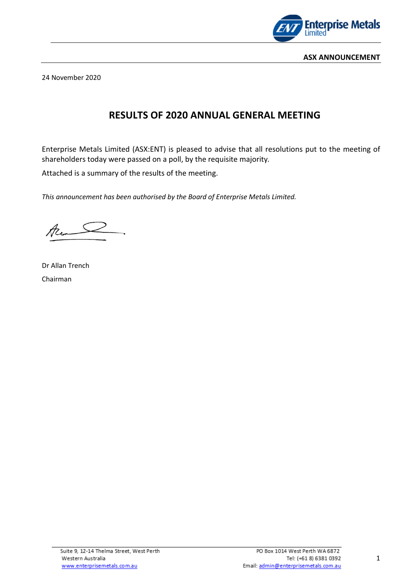

24 November 2020

## **RESULTS OF 2020 ANNUAL GENERAL MEETING**

Enterprise Metals Limited (ASX:ENT) is pleased to advise that all resolutions put to the meeting of shareholders today were passed on a poll, by the requisite majority*.* 

Attached is a summary of the results of the meeting.

*This announcement has been authorised by the Board of Enterprise Metals Limited.*

Acom

Dr Allan Trench Chairman